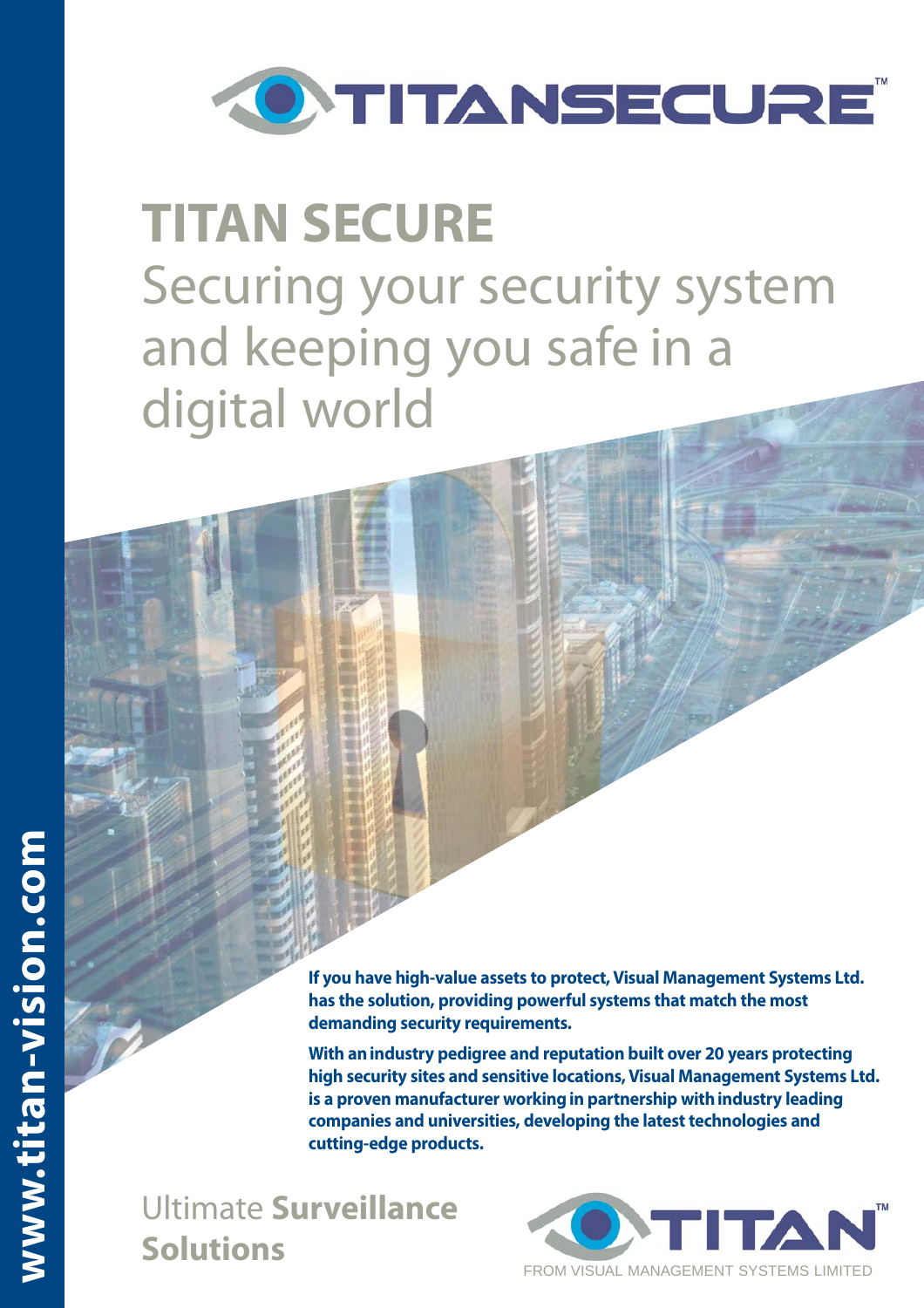

## **TITAN SECURE** Securing your security system and keeping you safe in a digital world

**If you have high-value assets to protect, Visual Management Systems Ltd. has the solution, providing powerful systems that match the most demanding security requirements.**

**With an industry pedigree and reputation built over 20 years protecting high security sites and sensitive locations, Visual Management Systems Ltd. is a proven manufacturer working in partnership with industry leading companies and universities, developing the latest technologies and cutting-edge products.** 

Ultimate **Surveillance Solutions**